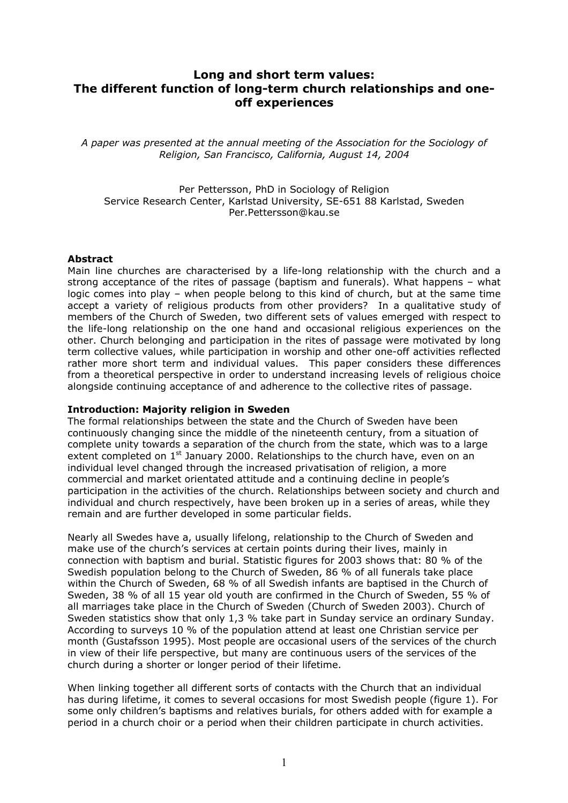# **Long and short term values: The different function of long-term church relationships and oneoff experiences**

*A paper was presented at the annual meeting of the Association for the Sociology of Religion, San Francisco, California, August 14, 2004* 

Per Pettersson, PhD in Sociology of Religion Service Research Center, Karlstad University, SE-651 88 Karlstad, Sweden Per.Pettersson@kau.se

## **Abstract**

Main line churches are characterised by a life-long relationship with the church and a strong acceptance of the rites of passage (baptism and funerals). What happens – what logic comes into play – when people belong to this kind of church, but at the same time accept a variety of religious products from other providers? In a qualitative study of members of the Church of Sweden, two different sets of values emerged with respect to the life-long relationship on the one hand and occasional religious experiences on the other. Church belonging and participation in the rites of passage were motivated by long term collective values, while participation in worship and other one-off activities reflected rather more short term and individual values. This paper considers these differences from a theoretical perspective in order to understand increasing levels of religious choice alongside continuing acceptance of and adherence to the collective rites of passage.

## **Introduction: Majority religion in Sweden**

The formal relationships between the state and the Church of Sweden have been continuously changing since the middle of the nineteenth century, from a situation of complete unity towards a separation of the church from the state, which was to a large extent completed on  $1<sup>st</sup>$  January 2000. Relationships to the church have, even on an individual level changed through the increased privatisation of religion, a more commercial and market orientated attitude and a continuing decline in people's participation in the activities of the church. Relationships between society and church and individual and church respectively, have been broken up in a series of areas, while they remain and are further developed in some particular fields.

Nearly all Swedes have a, usually lifelong, relationship to the Church of Sweden and make use of the church's services at certain points during their lives, mainly in connection with baptism and burial. Statistic figures for 2003 shows that: 80 % of the Swedish population belong to the Church of Sweden, 86 % of all funerals take place within the Church of Sweden, 68 % of all Swedish infants are baptised in the Church of Sweden, 38 % of all 15 year old youth are confirmed in the Church of Sweden, 55 % of all marriages take place in the Church of Sweden (Church of Sweden 2003). Church of Sweden statistics show that only 1,3 % take part in Sunday service an ordinary Sunday. According to surveys 10 % of the population attend at least one Christian service per month (Gustafsson 1995). Most people are occasional users of the services of the church in view of their life perspective, but many are continuous users of the services of the church during a shorter or longer period of their lifetime.

When linking together all different sorts of contacts with the Church that an individual has during lifetime, it comes to several occasions for most Swedish people (figure 1). For some only children's baptisms and relatives burials, for others added with for example a period in a church choir or a period when their children participate in church activities.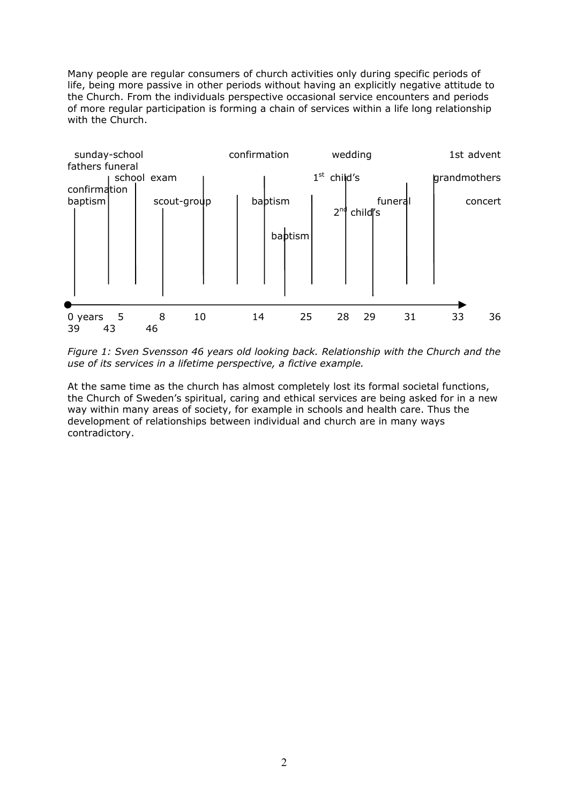Many people are regular consumers of church activities only during specific periods of life, being more passive in other periods without having an explicitly negative attitude to the Church. From the individuals perspective occasional service encounters and periods of more regular participation is forming a chain of services within a life long relationship with the Church.



*Figure 1: Sven Svensson 46 years old looking back. Relationship with the Church and the use of its services in a lifetime perspective, a fictive example.* 

At the same time as the church has almost completely lost its formal societal functions, the Church of Sweden's spiritual, caring and ethical services are being asked for in a new way within many areas of society, for example in schools and health care. Thus the development of relationships between individual and church are in many ways contradictory.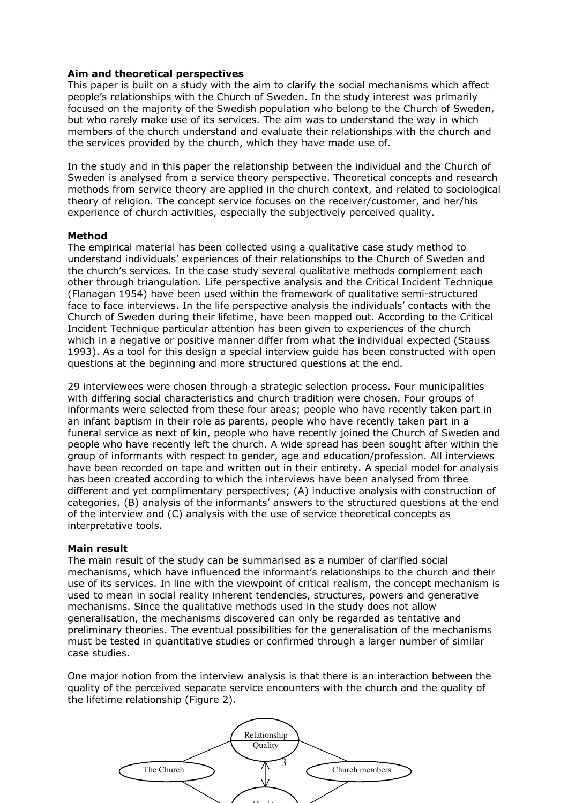## **Aim and theoretical perspectives**

This paper is built on a study with the aim to clarify the social mechanisms which affect people's relationships with the Church of Sweden. In the study interest was primarily focused on the majority of the Swedish population who belong to the Church of Sweden, but who rarely make use of its services. The aim was to understand the way in which members of the church understand and evaluate their relationships with the church and the services provided by the church, which they have made use of.

In the study and in this paper the relationship between the individual and the Church of Sweden is analysed from a service theory perspective. Theoretical concepts and research methods from service theory are applied in the church context, and related to sociological theory of religion. The concept service focuses on the receiver/customer, and her/his experience of church activities, especially the subjectively perceived quality.

#### **Method**

The empirical material has been collected using a qualitative case study method to understand individuals' experiences of their relationships to the Church of Sweden and the church's services. In the case study several qualitative methods complement each other through triangulation. Life perspective analysis and the Critical Incident Technique (Flanagan 1954) have been used within the framework of qualitative semi-structured face to face interviews. In the life perspective analysis the individuals' contacts with the Church of Sweden during their lifetime, have been mapped out. According to the Critical Incident Technique particular attention has been given to experiences of the church which in a negative or positive manner differ from what the individual expected (Stauss 1993). As a tool for this design a special interview guide has been constructed with open questions at the beginning and more structured questions at the end.

29 interviewees were chosen through a strategic selection process. Four municipalities with differing social characteristics and church tradition were chosen. Four groups of informants were selected from these four areas; people who have recently taken part in an infant baptism in their role as parents, people who have recently taken part in a funeral service as next of kin, people who have recently joined the Church of Sweden and people who have recently left the church. A wide spread has been sought after within the group of informants with respect to gender, age and education/profession. All interviews have been recorded on tape and written out in their entirety. A special model for analysis has been created according to which the interviews have been analysed from three different and yet complimentary perspectives; (A) inductive analysis with construction of categories, (B) analysis of the informants' answers to the structured questions at the end of the interview and (C) analysis with the use of service theoretical concepts as interpretative tools.

#### **Main result**

The main result of the study can be summarised as a number of clarified social mechanisms, which have influenced the informant's relationships to the church and their use of its services. In line with the viewpoint of critical realism, the concept mechanism is used to mean in social reality inherent tendencies, structures, powers and generative mechanisms. Since the qualitative methods used in the study does not allow generalisation, the mechanisms discovered can only be regarded as tentative and preliminary theories. The eventual possibilities for the generalisation of the mechanisms must be tested in quantitative studies or confirmed through a larger number of similar case studies.

One major notion from the interview analysis is that there is an interaction between the quality of the perceived separate service encounters with the church and the quality of the lifetime relationship (Figure 2).

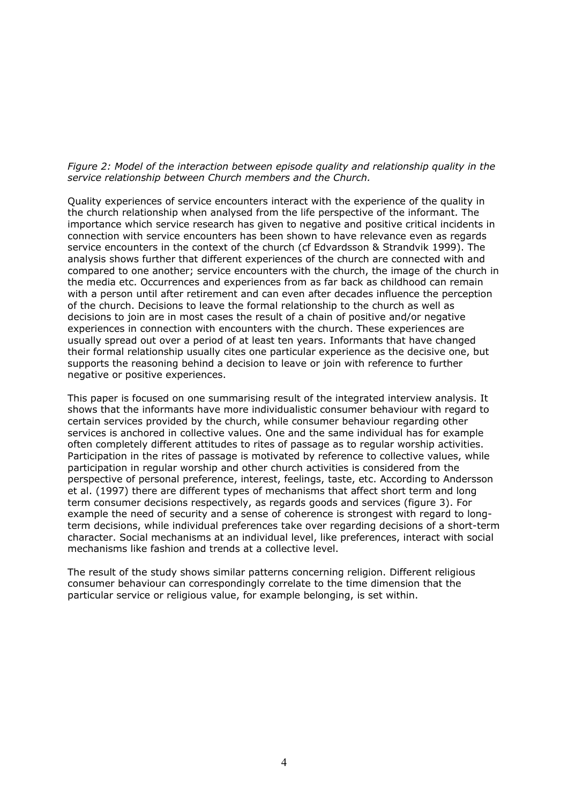#### *Figure 2: Model of the interaction between episode quality and relationship quality in the service relationship between Church members and the Church.*

Quality experiences of service encounters interact with the experience of the quality in the church relationship when analysed from the life perspective of the informant. The importance which service research has given to negative and positive critical incidents in connection with service encounters has been shown to have relevance even as regards service encounters in the context of the church (cf Edvardsson & Strandvik 1999). The analysis shows further that different experiences of the church are connected with and compared to one another; service encounters with the church, the image of the church in the media etc. Occurrences and experiences from as far back as childhood can remain with a person until after retirement and can even after decades influence the perception of the church. Decisions to leave the formal relationship to the church as well as decisions to join are in most cases the result of a chain of positive and/or negative experiences in connection with encounters with the church. These experiences are usually spread out over a period of at least ten years. Informants that have changed their formal relationship usually cites one particular experience as the decisive one, but supports the reasoning behind a decision to leave or join with reference to further negative or positive experiences.

This paper is focused on one summarising result of the integrated interview analysis. It shows that the informants have more individualistic consumer behaviour with regard to certain services provided by the church, while consumer behaviour regarding other services is anchored in collective values. One and the same individual has for example often completely different attitudes to rites of passage as to regular worship activities. Participation in the rites of passage is motivated by reference to collective values, while participation in regular worship and other church activities is considered from the perspective of personal preference, interest, feelings, taste, etc. According to Andersson et al. (1997) there are different types of mechanisms that affect short term and long term consumer decisions respectively, as regards goods and services (figure 3). For example the need of security and a sense of coherence is strongest with regard to longterm decisions, while individual preferences take over regarding decisions of a short-term character. Social mechanisms at an individual level, like preferences, interact with social mechanisms like fashion and trends at a collective level.

The result of the study shows similar patterns concerning religion. Different religious consumer behaviour can correspondingly correlate to the time dimension that the particular service or religious value, for example belonging, is set within.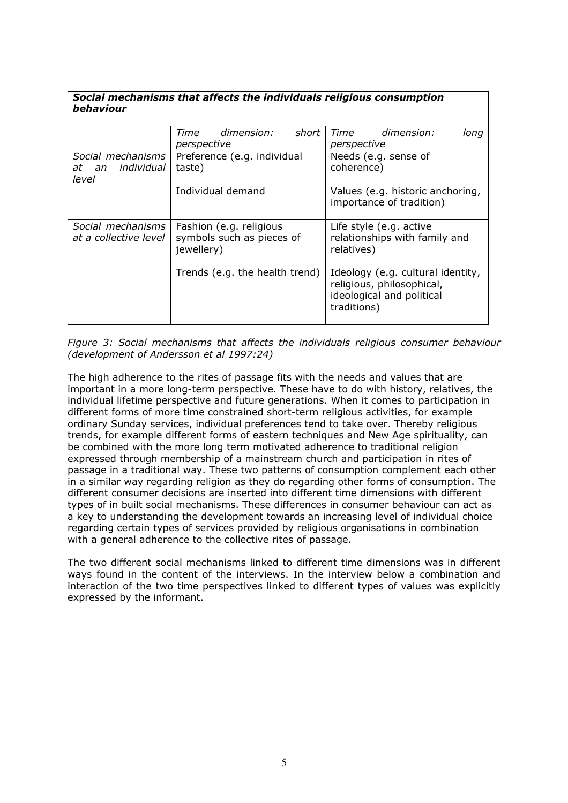| Social mechanisms that affects the individuals religious consumption |  |
|----------------------------------------------------------------------|--|
| behaviour                                                            |  |

|                                                      | Time                                                               | dimension: | short | Time                                                                                                       | dimension:                                               | lona |
|------------------------------------------------------|--------------------------------------------------------------------|------------|-------|------------------------------------------------------------------------------------------------------------|----------------------------------------------------------|------|
|                                                      | perspective                                                        |            |       | perspective                                                                                                |                                                          |      |
| Social mechanisms<br>individual<br>an<br>at<br>level | Preference (e.g. individual<br>taste)<br>Individual demand         |            |       | coherence)                                                                                                 | Needs (e.g. sense of                                     |      |
|                                                      |                                                                    |            |       | Values (e.g. historic anchoring,<br>importance of tradition)                                               |                                                          |      |
| Social mechanisms<br>at a collective level           | Fashion (e.g. religious<br>symbols such as pieces of<br>jewellery) |            |       | relatives)                                                                                                 | Life style (e.g. active<br>relationships with family and |      |
|                                                      | Trends (e.g. the health trend)                                     |            |       | Ideology (e.g. cultural identity,<br>religious, philosophical,<br>ideological and political<br>traditions) |                                                          |      |

## *Figure 3: Social mechanisms that affects the individuals religious consumer behaviour (development of Andersson et al 1997:24)*

The high adherence to the rites of passage fits with the needs and values that are important in a more long-term perspective. These have to do with history, relatives, the individual lifetime perspective and future generations. When it comes to participation in different forms of more time constrained short-term religious activities, for example ordinary Sunday services, individual preferences tend to take over. Thereby religious trends, for example different forms of eastern techniques and New Age spirituality, can be combined with the more long term motivated adherence to traditional religion expressed through membership of a mainstream church and participation in rites of passage in a traditional way. These two patterns of consumption complement each other in a similar way regarding religion as they do regarding other forms of consumption. The different consumer decisions are inserted into different time dimensions with different types of in built social mechanisms. These differences in consumer behaviour can act as a key to understanding the development towards an increasing level of individual choice regarding certain types of services provided by religious organisations in combination with a general adherence to the collective rites of passage.

The two different social mechanisms linked to different time dimensions was in different ways found in the content of the interviews. In the interview below a combination and interaction of the two time perspectives linked to different types of values was explicitly expressed by the informant.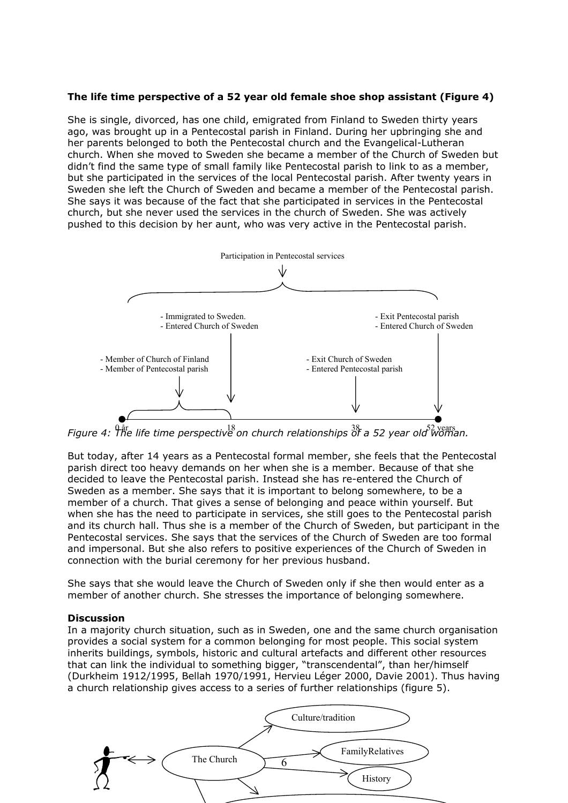# **The life time perspective of a 52 year old female shoe shop assistant (Figure 4)**

She is single, divorced, has one child, emigrated from Finland to Sweden thirty years ago, was brought up in a Pentecostal parish in Finland. During her upbringing she and her parents belonged to both the Pentecostal church and the Evangelical-Lutheran church. When she moved to Sweden she became a member of the Church of Sweden but didn't find the same type of small family like Pentecostal parish to link to as a member, but she participated in the services of the local Pentecostal parish. After twenty years in Sweden she left the Church of Sweden and became a member of the Pentecostal parish. She says it was because of the fact that she participated in services in the Pentecostal church, but she never used the services in the church of Sweden. She was actively pushed to this decision by her aunt, who was very active in the Pentecostal parish.



*Figure 4:*  $\hat{h}^{\text{a}}$  *Figure 4:*  $\hat{h}^{\text{a}}$  *Figure 4:*  $\hat{h}^{\text{a}}$  *<i>figure 4:*  $\hat{h}^{\text{a}}$  *figure 4:*  $\hat{h}^{\text{a}}$  *<i>figure 4:*  $\hat{h}^{\text{a}}$  *figure 4:*  $\hat{h}^{\text{a}}$  *<i>figure 4:*  $\hat{h}^{\text{a}}$  *figure 4:*  $\hat{$ 

But today, after 14 years as a Pentecostal formal member, she feels that the Pentecostal parish direct too heavy demands on her when she is a member. Because of that she decided to leave the Pentecostal parish. Instead she has re-entered the Church of Sweden as a member. She says that it is important to belong somewhere, to be a member of a church. That gives a sense of belonging and peace within yourself. But when she has the need to participate in services, she still goes to the Pentecostal parish and its church hall. Thus she is a member of the Church of Sweden, but participant in the Pentecostal services. She says that the services of the Church of Sweden are too formal and impersonal. But she also refers to positive experiences of the Church of Sweden in connection with the burial ceremony for her previous husband.

She says that she would leave the Church of Sweden only if she then would enter as a member of another church. She stresses the importance of belonging somewhere.

## **Discussion**

In a majority church situation, such as in Sweden, one and the same church organisation provides a social system for a common belonging for most people. This social system inherits buildings, symbols, historic and cultural artefacts and different other resources that can link the individual to something bigger, "transcendental", than her/himself (Durkheim 1912/1995, Bellah 1970/1991, Hervieu Léger 2000, Davie 2001). Thus having a church relationship gives access to a series of further relationships (figure 5).

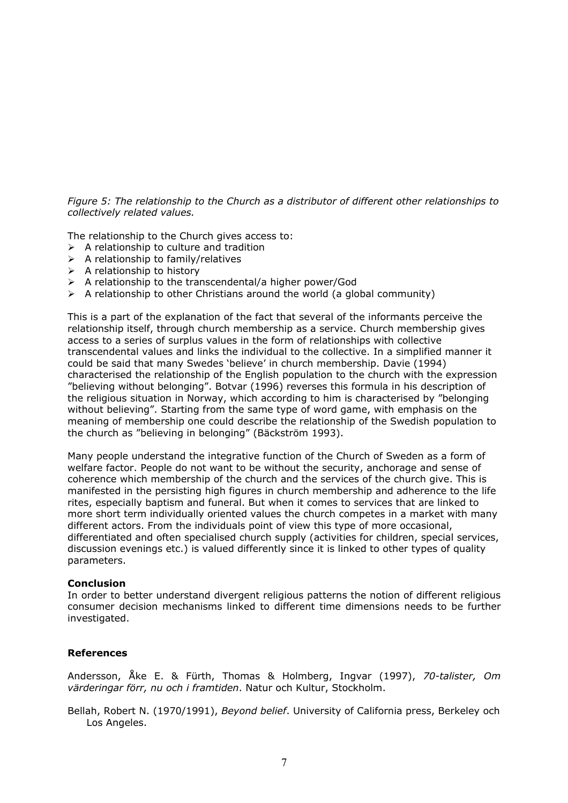*Figure 5: The relationship to the Church as a distributor of different other relationships to collectively related values.* 

The relationship to the Church gives access to:

- $\triangleright$  A relationship to culture and tradition
- $\triangleright$  A relationship to family/relatives
- $\triangleright$  A relationship to history
- $\triangleright$  A relationship to the transcendental/a higher power/God
- $\triangleright$  A relationship to other Christians around the world (a global community)

This is a part of the explanation of the fact that several of the informants perceive the relationship itself, through church membership as a service. Church membership gives access to a series of surplus values in the form of relationships with collective transcendental values and links the individual to the collective. In a simplified manner it could be said that many Swedes 'believe' in church membership. Davie (1994) characterised the relationship of the English population to the church with the expression "believing without belonging". Botvar (1996) reverses this formula in his description of the religious situation in Norway, which according to him is characterised by "belonging without believing". Starting from the same type of word game, with emphasis on the meaning of membership one could describe the relationship of the Swedish population to the church as "believing in belonging" (Bäckström 1993).

Many people understand the integrative function of the Church of Sweden as a form of welfare factor. People do not want to be without the security, anchorage and sense of coherence which membership of the church and the services of the church give. This is manifested in the persisting high figures in church membership and adherence to the life rites, especially baptism and funeral. But when it comes to services that are linked to more short term individually oriented values the church competes in a market with many different actors. From the individuals point of view this type of more occasional, differentiated and often specialised church supply (activities for children, special services, discussion evenings etc.) is valued differently since it is linked to other types of quality parameters.

#### **Conclusion**

In order to better understand divergent religious patterns the notion of different religious consumer decision mechanisms linked to different time dimensions needs to be further investigated.

## **References**

Andersson, Åke E. & Fürth, Thomas & Holmberg, Ingvar (1997), *70-talister, Om värderingar förr, nu och i framtiden*. Natur och Kultur, Stockholm.

Bellah, Robert N. (1970/1991), *Beyond belief*. University of California press, Berkeley och Los Angeles.